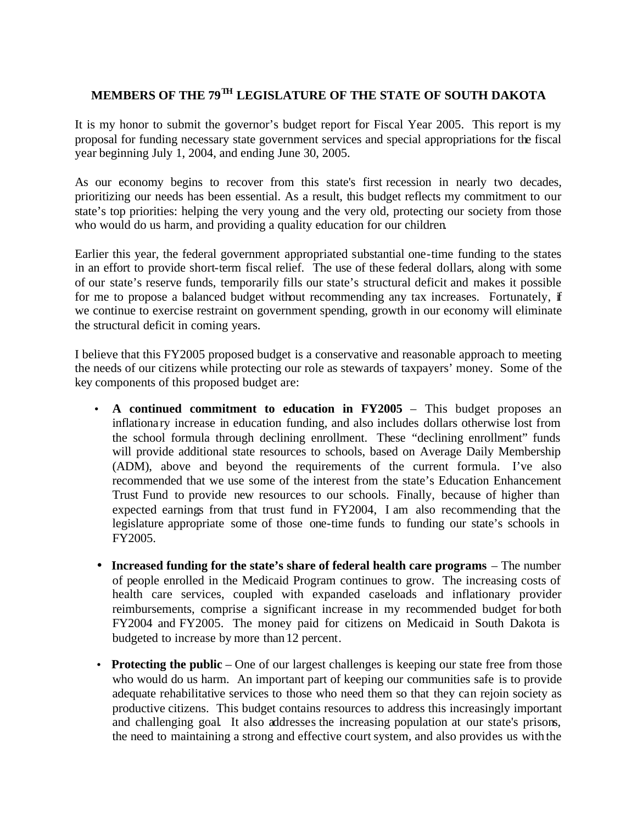## **MEMBERS OF THE 79 TH LEGISLATURE OF THE STATE OF SOUTH DAKOTA**

It is my honor to submit the governor's budget report for Fiscal Year 2005. This report is my proposal for funding necessary state government services and special appropriations for the fiscal year beginning July 1, 2004, and ending June 30, 2005.

As our economy begins to recover from this state's first recession in nearly two decades, prioritizing our needs has been essential. As a result, this budget reflects my commitment to our state's top priorities: helping the very young and the very old, protecting our society from those who would do us harm, and providing a quality education for our children.

Earlier this year, the federal government appropriated substantial one-time funding to the states in an effort to provide short-term fiscal relief. The use of these federal dollars, along with some of our state's reserve funds, temporarily fills our state's structural deficit and makes it possible for me to propose a balanced budget without recommending any tax increases. Fortunately, if we continue to exercise restraint on government spending, growth in our economy will eliminate the structural deficit in coming years.

I believe that this FY2005 proposed budget is a conservative and reasonable approach to meeting the needs of our citizens while protecting our role as stewards of taxpayers' money. Some of the key components of this proposed budget are:

- **A continued commitment to education in FY2005** This budget proposes an inflationary increase in education funding, and also includes dollars otherwise lost from the school formula through declining enrollment. These "declining enrollment" funds will provide additional state resources to schools, based on Average Daily Membership (ADM), above and beyond the requirements of the current formula. I've also recommended that we use some of the interest from the state's Education Enhancement Trust Fund to provide new resources to our schools. Finally, because of higher than expected earnings from that trust fund in FY2004, I am also recommending that the legislature appropriate some of those one-time funds to funding our state's schools in FY2005.
- **Increased funding for the state's share of federal health care programs** The number of people enrolled in the Medicaid Program continues to grow. The increasing costs of health care services, coupled with expanded caseloads and inflationary provider reimbursements, comprise a significant increase in my recommended budget for both FY2004 and FY2005. The money paid for citizens on Medicaid in South Dakota is budgeted to increase by more than 12 percent.
- **Protecting the public** One of our largest challenges is keeping our state free from those who would do us harm. An important part of keeping our communities safe is to provide adequate rehabilitative services to those who need them so that they can rejoin society as productive citizens. This budget contains resources to address this increasingly important and challenging goal. It also addresses the increasing population at our state's prisons, the need to maintaining a strong and effective court system, and also provides us with the